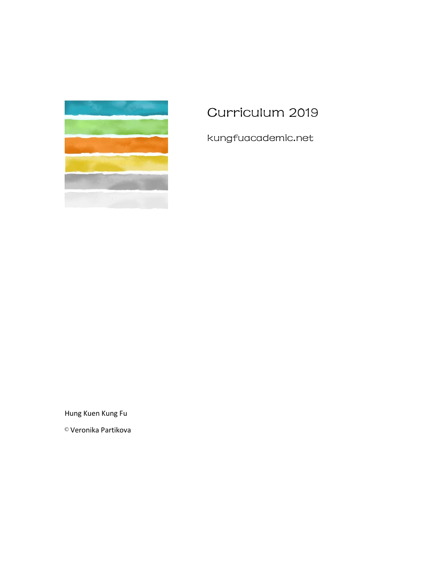

# Curriculum 2019

kungfuacademic.net

Hung Kuen Kung Fu

© Veronika Partikova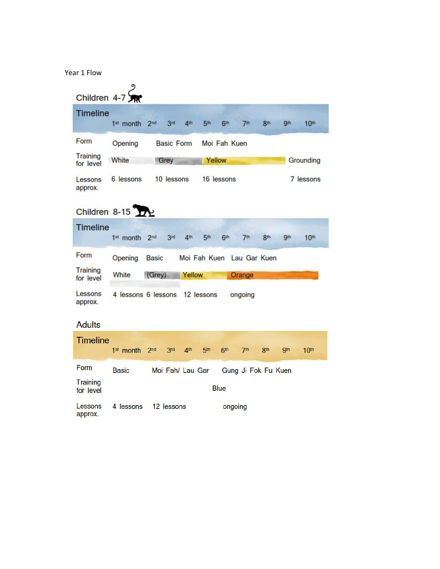Year 1 Flow

|                              | Children $4-7$        |                 |                        |                           |                 |                     |                 |            |                  |
|------------------------------|-----------------------|-----------------|------------------------|---------------------------|-----------------|---------------------|-----------------|------------|------------------|
|                              |                       |                 |                        |                           |                 |                     |                 |            |                  |
| <b>Timeline</b>              | 1 <sup>st</sup> month | 2 <sub>nd</sub> | 3rd<br>4 <sub>th</sub> | 5 <sup>th</sup>           | 6 <sup>th</sup> | 7th                 | 8th             | 9th        | 10 <sup>th</sup> |
| Form                         | Opening               |                 | <b>Basic Form</b>      |                           | Moi Fah Kuen    |                     |                 |            |                  |
| Training<br>for level        | White                 | Grey            |                        | Yellow                    |                 |                     |                 |            | Grounding        |
| Lessons<br>approx.           | 6 lessons             |                 | 10 lessons             |                           | 16 lessons      |                     |                 |            | 7 lessons        |
|                              | Children 8-15         |                 |                        |                           |                 |                     |                 |            |                  |
| <b>Timeline</b>              | 1st month 2nd         |                 | 3rd<br>4 <sup>th</sup> | 5 <sup>th</sup>           | 6 <sup>th</sup> | 7 <sup>th</sup>     | 8th             | <b>gth</b> | 10 <sup>th</sup> |
| Form                         | Opening               | <b>Basic</b>    |                        | Moi Fah Kuen Lau Gar Kuen |                 |                     |                 |            |                  |
| Training<br>for level        | White                 | (Grey)          | Yellow                 |                           |                 | Orange              |                 |            |                  |
| Lessons<br>approx.           | 4 lessons 6 lessons   |                 |                        | 12 lessons                |                 | ongoing             |                 |            |                  |
| <b>Adults</b>                |                       |                 |                        |                           |                 |                     |                 |            |                  |
| <b>Timeline</b>              | 1 <sup>st</sup> month | 2 <sub>nd</sub> | 3rd<br>4 <sup>th</sup> | 5 <sup>th</sup>           | 6 <sup>th</sup> | 7 <sup>th</sup>     | 8 <sup>th</sup> | <b>9th</b> | 10 <sup>th</sup> |
| Form                         | <b>Basic</b>          |                 | Moi Fah/ Lau Gar       |                           |                 | Gung Ji Fok Fu Kuen |                 |            |                  |
| <b>Training</b><br>for level |                       |                 |                        |                           | <b>Blue</b>     |                     |                 |            |                  |
| Lessons<br>approx.           | 4 lessons             |                 | 12 lessons             |                           | ongoing         |                     |                 |            |                  |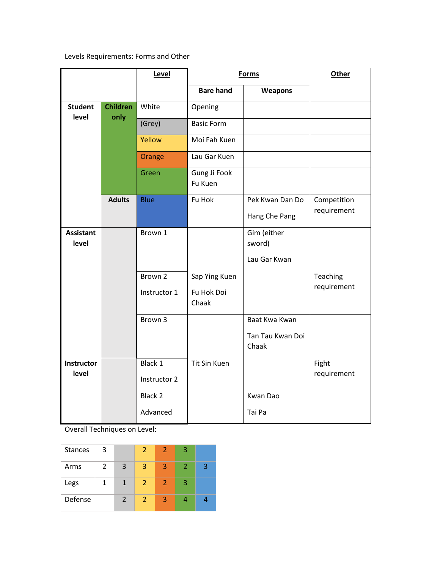Levels Requirements: Forms and Other

|                           |                 | Level        |                         | <b>Forms</b>              |             |
|---------------------------|-----------------|--------------|-------------------------|---------------------------|-------------|
|                           |                 |              | <b>Bare hand</b>        | Weapons                   |             |
| <b>Student</b>            | <b>Children</b> | White        | Opening                 |                           |             |
| level                     | only            | (Grey)       | <b>Basic Form</b>       |                           |             |
|                           |                 | Yellow       | Moi Fah Kuen            |                           |             |
|                           |                 | Orange       | Lau Gar Kuen            |                           |             |
|                           |                 | Green        | Gung Ji Fook<br>Fu Kuen |                           |             |
|                           | <b>Adults</b>   | <b>Blue</b>  | Fu Hok                  | Pek Kwan Dan Do           | Competition |
|                           |                 |              |                         | Hang Che Pang             | requirement |
| <b>Assistant</b><br>level |                 | Brown 1      |                         | Gim (either<br>sword)     |             |
|                           |                 |              |                         | Lau Gar Kwan              |             |
|                           |                 | Brown 2      | Sap Ying Kuen           |                           | Teaching    |
|                           |                 | Instructor 1 | Fu Hok Doi<br>Chaak     |                           | requirement |
|                           |                 | Brown 3      |                         | Baat Kwa Kwan             |             |
|                           |                 |              |                         | Tan Tau Kwan Doi<br>Chaak |             |
| <b>Instructor</b>         |                 | Black 1      | <b>Tit Sin Kuen</b>     |                           | Fight       |
| level                     |                 | Instructor 2 |                         |                           | requirement |
|                           |                 | Black 2      |                         | Kwan Dao                  |             |
|                           |                 | Advanced     |                         | Tai Pa                    |             |

Overall Techniques on Level:

| <b>Stances</b> | 3 |               | 2              | 2              | 3 |   |
|----------------|---|---------------|----------------|----------------|---|---|
| Arms           | 2 | 3             | 3              | $\overline{3}$ | 2 | 3 |
| Legs           |   | 1             | $\overline{2}$ | $\overline{2}$ | З |   |
| Defense        |   | $\mathcal{P}$ | 2              | $\overline{3}$ |   |   |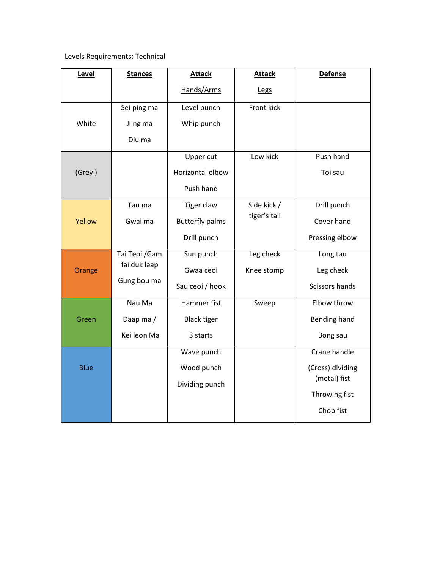## Levels Requirements: Technical

| Level       | <b>Stances</b> | <b>Attack</b>          | <b>Attack</b> | <b>Defense</b>   |
|-------------|----------------|------------------------|---------------|------------------|
|             |                | Hands/Arms             | Legs          |                  |
|             | Sei ping ma    | Level punch            | Front kick    |                  |
| White       | Ji ng ma       | Whip punch             |               |                  |
|             | Diu ma         |                        |               |                  |
|             |                | Upper cut              | Low kick      | Push hand        |
| (Grey)      |                | Horizontal elbow       |               | Toi sau          |
|             |                | Push hand              |               |                  |
|             | Tau ma         | <b>Tiger claw</b>      | Side kick /   | Drill punch      |
| Yellow      | Gwai ma        | <b>Butterfly palms</b> | tiger's tail  | Cover hand       |
|             |                | Drill punch            |               | Pressing elbow   |
|             | Tai Teoi / Gam | Sun punch              | Leg check     | Long tau         |
| Orange      | fai duk laap   | Gwaa ceoi              | Knee stomp    | Leg check        |
|             | Gung bou ma    | Sau ceoi / hook        |               | Scissors hands   |
|             | Nau Ma         | Hammer fist            | Sweep         | Elbow throw      |
| Green       | Daap ma/       | <b>Black tiger</b>     |               | Bending hand     |
|             | Kei leon Ma    | 3 starts               |               | Bong sau         |
|             |                | Wave punch             |               | Crane handle     |
| <b>Blue</b> |                | Wood punch             |               | (Cross) dividing |
|             |                | Dividing punch         |               | (metal) fist     |
|             |                |                        |               | Throwing fist    |
|             |                |                        |               | Chop fist        |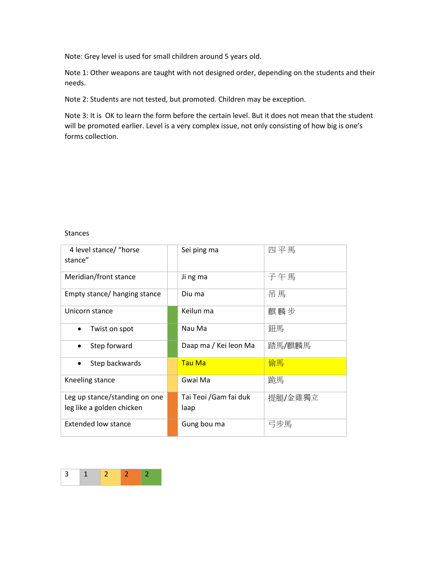Note: Grey level is used for small children around 5 years old.

Note 1: Other weapons are taught with not designed order, depending on the students and their needs.

Note 2: Students are not tested, but promoted. Children may be exception.

Note 3: It is OK to learn the form before the certain level. But it does not mean that the student will be promoted earlier. Level is a very complex issue, not only consisting of how big is one's forms collection.

#### Stances

| 4 level stance/ "horse        | Sei ping ma           | 四平馬     |
|-------------------------------|-----------------------|---------|
| stance"                       |                       |         |
|                               |                       |         |
| Meridian/front stance         | Ji ng ma              | 子午馬     |
|                               |                       |         |
| Empty stance/ hanging stance  | Diu ma                | 吊馬      |
|                               |                       |         |
| Unicorn stance                | Keilun ma             | 麒麟步     |
|                               |                       |         |
| Twist on spot                 | Nau Ma                | 鈕馬      |
|                               |                       |         |
| Step forward                  | Daap ma / Kei leon Ma | 踏馬/麒麟馬  |
|                               |                       |         |
| Step backwards                | Tau Ma                | 偷馬      |
|                               |                       |         |
| Kneeling stance               | Gwai Ma               | 跪馬      |
|                               |                       |         |
| Leg up stance/standing on one | Tai Teoi /Gam fai duk | 提腿/金雞獨立 |
| leg like a golden chicken     | laap                  |         |
|                               |                       |         |
| <b>Extended low stance</b>    | Gung bou ma           | 弓步馬     |
|                               |                       |         |

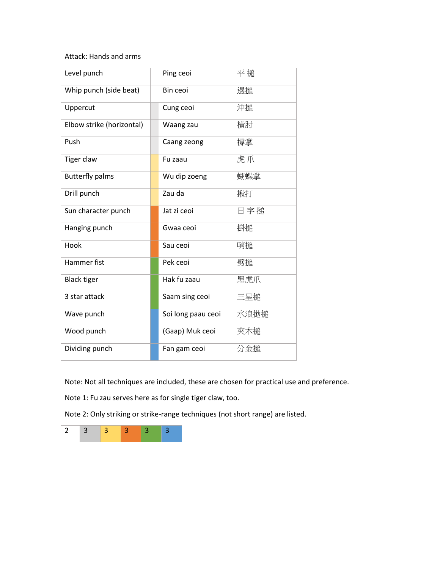### Attack: Hands and arms

| Level punch               | Ping ceoi          | 平搥   |
|---------------------------|--------------------|------|
| Whip punch (side beat)    | Bin ceoi           | 邊搥   |
| Uppercut                  | Cung ceoi          | 沖搥   |
| Elbow strike (horizontal) | Waang zau          | 横肘   |
| Push                      | Caang zeong        | 撐掌   |
| Tiger claw                | Fu zaau            | 虎爪   |
| <b>Butterfly palms</b>    | Wu dip zoeng       | 蝴蝶掌  |
| Drill punch               | Zau da             | 揪打   |
| Sun character punch       | Jat zi ceoi        | 日字搥  |
| Hanging punch             | Gwaa ceoi          | 掛搥   |
| Hook                      | Sau ceoi           | 哨搥   |
| Hammer fist               | Pek ceoi           | 劈搥   |
| <b>Black tiger</b>        | Hak fu zaau        | 黑虎爪  |
| 3 star attack             | Saam sing ceoi     | 三星搥  |
| Wave punch                | Soi long paau ceoi | 水浪拋搥 |
| Wood punch                | (Gaap) Muk ceoi    | 夾木搥  |
| Dividing punch            | Fan gam ceoi       | 分金搥  |

Note: Not all techniques are included, these are chosen for practical use and preference.

Note 1: Fu zau serves here as for single tiger claw, too.

Note 2: Only striking or strike-range techniques (not short range) are listed.

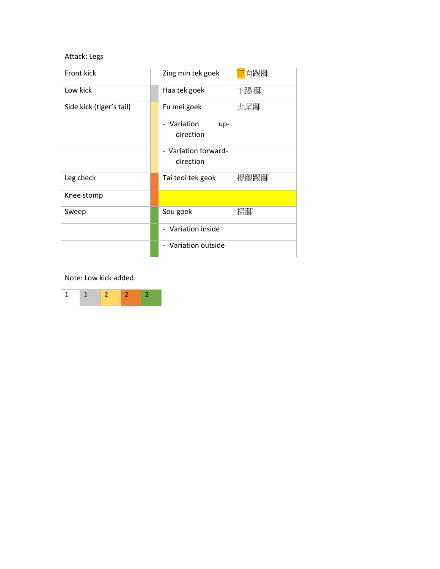## Attack: Legs

| Front kick               | Zing min tek goek               | 正面踢腳 |
|--------------------------|---------------------------------|------|
| Low kick                 | Haa tek goek                    | 下踢腳  |
| Side kick (tiger's tail) | Fu mei goek                     | 虎尾腳  |
|                          | - Variation<br>up-<br>direction |      |
|                          |                                 |      |
|                          | - Variation forward-            |      |
|                          | direction                       |      |
| Leg check                | Tai teoi tek geok               | 提腿踢腳 |
| Knee stomp               |                                 |      |
| Sweep                    | Sou goek                        | 掃腳   |
|                          | Variation inside                |      |
|                          | Variation outside               |      |

Note: Low kick added.

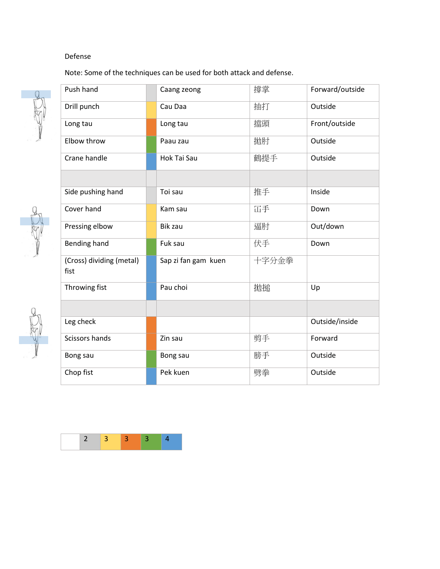## Defense

Note: Some of the techniques can be used for both attack and defense.



T

| Push hand                        | Caang zeong         | 撐掌    | Forward/outside |
|----------------------------------|---------------------|-------|-----------------|
| Drill punch                      | Cau Daa             | 抽打    | Outside         |
| Long tau                         | Long tau            | 擋頭    | Front/outside   |
| Elbow throw                      | Paau zau            | 拋肘    | Outside         |
| Crane handle                     | Hok Tai Sau         | 鶴提手   | Outside         |
|                                  |                     |       |                 |
| Side pushing hand                | Toi sau             | 推手    | Inside          |
| Cover hand                       | Kam sau             | 冚手    | Down            |
| Pressing elbow                   | <b>Bik zau</b>      | 逼肘    | Out/down        |
| Bending hand                     | Fuk sau             | 伏手    | Down            |
| (Cross) dividing (metal)<br>fist | Sap zi fan gam kuen | 十字分金拳 |                 |
| Throwing fist                    | Pau choi            | 拋搥    | Up              |
|                                  |                     |       |                 |
| Leg check                        |                     |       | Outside/inside  |
| Scissors hands                   | Zin sau             | 剪手    | Forward         |
| Bong sau                         | Bong sau            | 膀手    | Outside         |
| Chop fist                        | Pek kuen            | 劈拳    | Outside         |
|                                  |                     |       |                 |

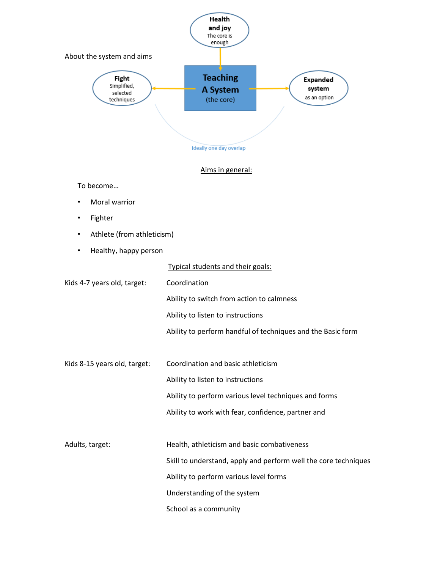

- Fighter
- Athlete (from athleticism)
- Healthy, happy person

|                              | Typical students and their goals:                               |
|------------------------------|-----------------------------------------------------------------|
| Kids 4-7 years old, target:  | Coordination                                                    |
|                              | Ability to switch from action to calmness                       |
|                              | Ability to listen to instructions                               |
|                              | Ability to perform handful of techniques and the Basic form     |
|                              |                                                                 |
| Kids 8-15 years old, target: | Coordination and basic athleticism                              |
|                              | Ability to listen to instructions                               |
|                              | Ability to perform various level techniques and forms           |
|                              | Ability to work with fear, confidence, partner and              |
|                              |                                                                 |
| Adults, target:              | Health, athleticism and basic combativeness                     |
|                              | Skill to understand, apply and perform well the core techniques |
|                              | Ability to perform various level forms                          |
|                              | Understanding of the system                                     |
|                              | School as a community                                           |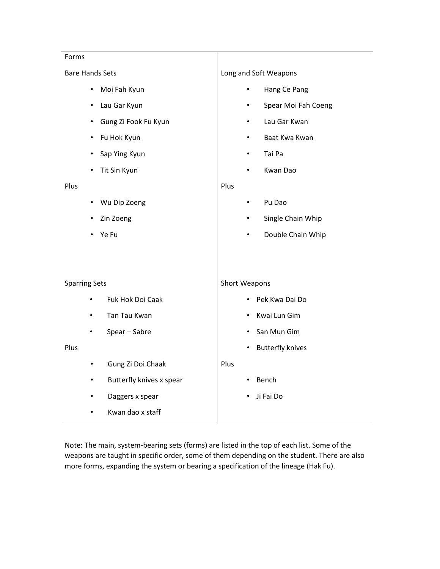| Forms                             |                      |                         |
|-----------------------------------|----------------------|-------------------------|
| <b>Bare Hands Sets</b>            |                      | Long and Soft Weapons   |
| Moi Fah Kyun<br>٠                 | ٠                    | Hang Ce Pang            |
| Lau Gar Kyun<br>$\bullet$         | $\bullet$            | Spear Moi Fah Coeng     |
| Gung Zi Fook Fu Kyun<br>$\bullet$ | ٠                    | Lau Gar Kwan            |
| Fu Hok Kyun<br>$\bullet$          | ٠                    | Baat Kwa Kwan           |
| Sap Ying Kyun<br>٠                | $\bullet$            | Tai Pa                  |
| Tit Sin Kyun                      |                      | Kwan Dao                |
| Plus                              | Plus                 |                         |
| Wu Dip Zoeng<br>$\bullet$         | $\bullet$            | Pu Dao                  |
| Zin Zoeng                         | ٠                    | Single Chain Whip       |
| Ye Fu                             |                      | Double Chain Whip       |
|                                   |                      |                         |
|                                   |                      |                         |
| <b>Sparring Sets</b>              | <b>Short Weapons</b> |                         |
| Fuk Hok Doi Caak                  |                      | Pek Kwa Dai Do          |
| Tan Tau Kwan<br>$\bullet$         |                      | Kwai Lun Gim            |
| Spear - Sabre                     |                      | San Mun Gim             |
| Plus                              | ٠                    | <b>Butterfly knives</b> |
| Gung Zi Doi Chaak<br>$\bullet$    | Plus                 |                         |
| Butterfly knives x spear          |                      | Bench                   |
| Daggers x spear                   |                      | Ji Fai Do               |
| Kwan dao x staff                  |                      |                         |
|                                   |                      |                         |

Note: The main, system-bearing sets (forms) are listed in the top of each list. Some of the weapons are taught in specific order, some of them depending on the student. There are also more forms, expanding the system or bearing a specification of the lineage (Hak Fu).